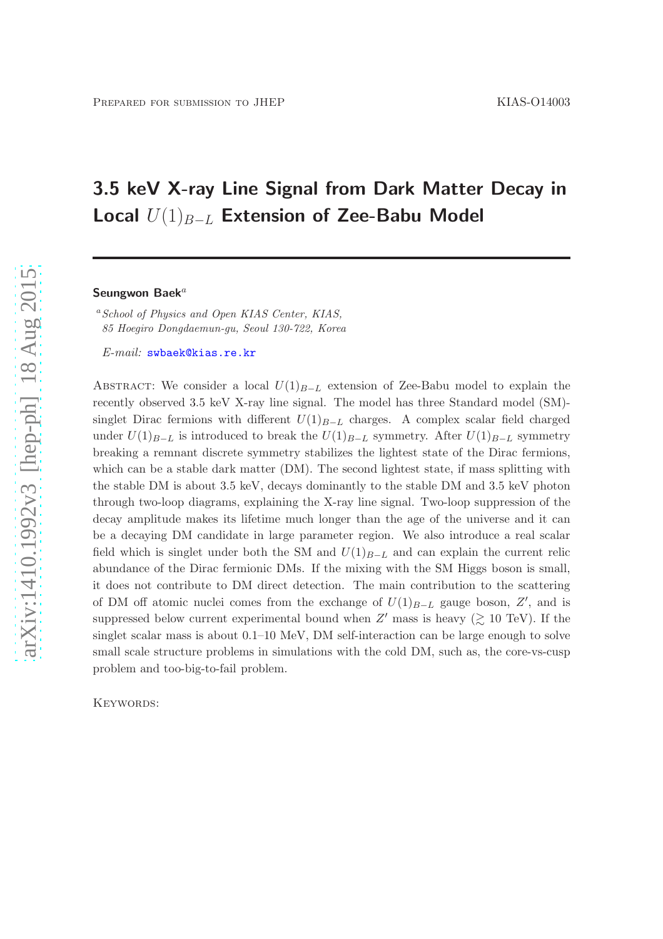# 3.5 keV X-ray Line Signal from Dark Matter Decay in Local  $U(1)_{B-L}$  Extension of Zee-Babu Model

#### Seungwon Baek $^a$

<sup>a</sup> School of Physics and Open KIAS Center, KIAS, 85 Hoegiro Dongdaemun-gu, Seoul 130-722, Korea

E-mail: [swbaek@kias.re.kr](mailto:swbaek@kias.re.kr)

ABSTRACT: We consider a local  $U(1)_{B-L}$  extension of Zee-Babu model to explain the recently observed 3.5 keV X-ray line signal. The model has three Standard model (SM) singlet Dirac fermions with different  $U(1)_{B-L}$  charges. A complex scalar field charged under  $U(1)_{B-L}$  is introduced to break the  $U(1)_{B-L}$  symmetry. After  $U(1)_{B-L}$  symmetry breaking a remnant discrete symmetry stabilizes the lightest state of the Dirac fermions, which can be a stable dark matter (DM). The second lightest state, if mass splitting with the stable DM is about 3.5 keV, decays dominantly to the stable DM and 3.5 keV photon through two-loop diagrams, explaining the X-ray line signal. Two-loop suppression of the decay amplitude makes its lifetime much longer than the age of the universe and it can be a decaying DM candidate in large parameter region. We also introduce a real scalar field which is singlet under both the SM and  $U(1)_{B-L}$  and can explain the current relic abundance of the Dirac fermionic DMs. If the mixing with the SM Higgs boson is small, it does not contribute to DM direct detection. The main contribution to the scattering of DM off atomic nuclei comes from the exchange of  $U(1)_{B-L}$  gauge boson,  $Z'$ , and is suppressed below current experimental bound when  $Z'$  mass is heavy ( $\gtrsim 10$  TeV). If the singlet scalar mass is about 0.1–10 MeV, DM self-interaction can be large enough to solve small scale structure problems in simulations with the cold DM, such as, the core-vs-cusp problem and too-big-to-fail problem.

KEYWORDS: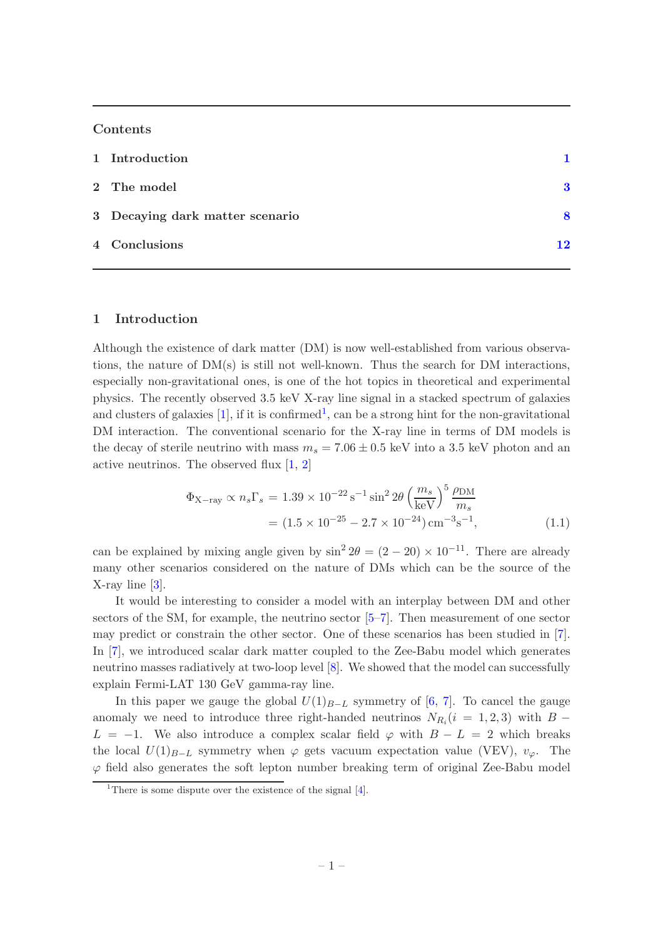## Contents

| 1 Introduction                  |    |  |
|---------------------------------|----|--|
| 2 The model                     | 3  |  |
| 3 Decaying dark matter scenario | Я  |  |
| 4 Conclusions                   | 12 |  |

## <span id="page-1-0"></span>1 Introduction

Although the existence of dark matter (DM) is now well-established from various observations, the nature of  $DM(s)$  is still not well-known. Thus the search for DM interactions, especially non-gravitational ones, is one of the hot topics in theoretical and experimental physics. The recently observed 3.5 keV X-ray line signal in a stacked spectrum of galaxies and clusters of galaxies  $[1]$  $[1]$  $[1]$ , if it is confirmed<sup>1</sup>, can be a strong hint for the non-gravitational DM interaction. The conventional scenario for the X-ray line in terms of DM models is the decay of sterile neutrino with mass  $m_s = 7.06 \pm 0.5$  keV into a 3.5 keV photon and an active neutrinos. The observed flux [\[1](#page-13-0), [2](#page-14-0)]

<span id="page-1-2"></span>
$$
\Phi_{X-ray} \propto n_s \Gamma_s = 1.39 \times 10^{-22} \,\mathrm{s}^{-1} \sin^2 2\theta \left(\frac{m_s}{\mathrm{keV}}\right)^5 \frac{\rho_{\mathrm{DM}}}{m_s} \n= (1.5 \times 10^{-25} - 2.7 \times 10^{-24}) \,\mathrm{cm}^{-3} \,\mathrm{s}^{-1},
$$
\n(1.1)

can be explained by mixing angle given by  $\sin^2 2\theta = (2 - 20) \times 10^{-11}$ . There are already many other scenarios considered on the nature of DMs which can be the source of the X-ray line [\[3](#page-14-1)].

It would be interesting to consider a model with an interplay between DM and other sectors of the SM, for example, the neutrino sector [\[5](#page-14-2)[–7\]](#page-14-3). Then measurement of one sector may predict or constrain the other sector. One of these scenarios has been studied in [\[7\]](#page-14-3). In [\[7\]](#page-14-3), we introduced scalar dark matter coupled to the Zee-Babu model which generates neutrino masses radiatively at two-loop level [\[8\]](#page-14-4). We showed that the model can successfully explain Fermi-LAT 130 GeV gamma-ray line.

In this paper we gauge the global  $U(1)_{B-L}$  symmetry of [\[6](#page-14-5), [7\]](#page-14-3). To cancel the gauge anomaly we need to introduce three right-handed neutrinos  $N_{R_i}(i = 1, 2, 3)$  with  $B L = -1$ . We also introduce a complex scalar field  $\varphi$  with  $B - L = 2$  which breaks the local  $U(1)_{B-L}$  symmetry when  $\varphi$  gets vacuum expectation value (VEV),  $v_{\varphi}$ . The  $\varphi$  field also generates the soft lepton number breaking term of original Zee-Babu model

<span id="page-1-1"></span><sup>&</sup>lt;sup>1</sup>There is some dispute over the existence of the signal  $[4]$ .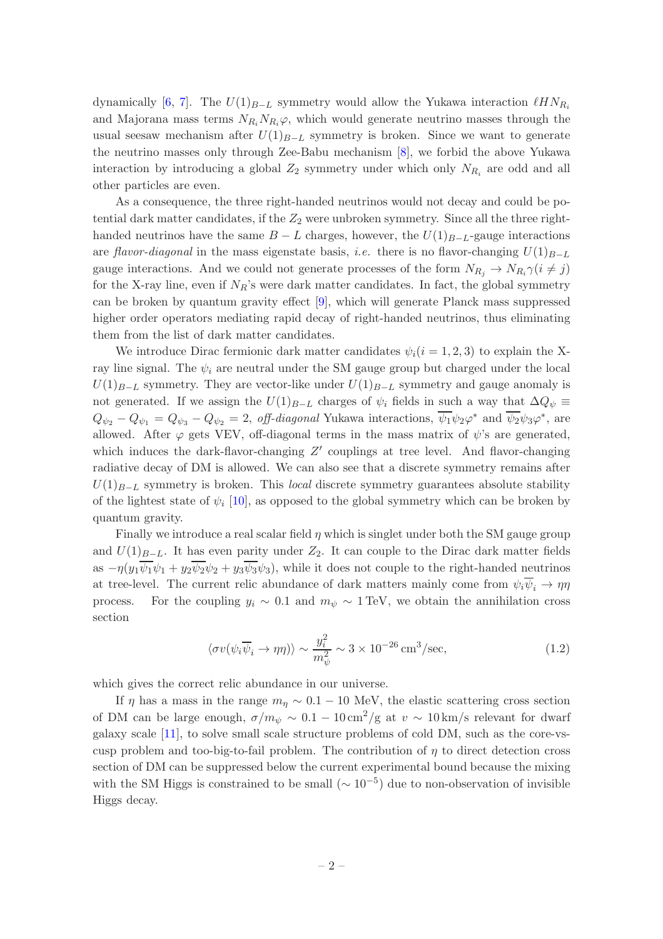dynamically [\[6,](#page-14-5) [7\]](#page-14-3). The  $U(1)_{B-L}$  symmetry would allow the Yukawa interaction  $\ell H N_{R_i}$ and Majorana mass terms  $N_{R_i}N_{R_i}\varphi$ , which would generate neutrino masses through the usual seesaw mechanism after  $U(1)_{B-L}$  symmetry is broken. Since we want to generate the neutrino masses only through Zee-Babu mechanism [\[8\]](#page-14-4), we forbid the above Yukawa interaction by introducing a global  $Z_2$  symmetry under which only  $N_{R_i}$  are odd and all other particles are even.

As a consequence, the three right-handed neutrinos would not decay and could be potential dark matter candidates, if the  $Z_2$  were unbroken symmetry. Since all the three righthanded neutrinos have the same  $B - L$  charges, however, the  $U(1)_{B-L}$ -gauge interactions are flavor-diagonal in the mass eigenstate basis, *i.e.* there is no flavor-changing  $U(1)_{B-L}$ gauge interactions. And we could not generate processes of the form  $N_{R_j} \to N_{R_i} \gamma (i \neq j)$ for the X-ray line, even if  $N_R$ 's were dark matter candidates. In fact, the global symmetry can be broken by quantum gravity effect [\[9](#page-14-7)], which will generate Planck mass suppressed higher order operators mediating rapid decay of right-handed neutrinos, thus eliminating them from the list of dark matter candidates.

We introduce Dirac fermionic dark matter candidates  $\psi_i(i=1,2,3)$  to explain the Xray line signal. The  $\psi_i$  are neutral under the SM gauge group but charged under the local  $U(1)_{B-L}$  symmetry. They are vector-like under  $U(1)_{B-L}$  symmetry and gauge anomaly is not generated. If we assign the  $U(1)_{B-L}$  charges of  $\psi_i$  fields in such a way that  $\Delta Q_{\psi}$  $Q_{\psi_2} - Q_{\psi_1} = Q_{\psi_3} - Q_{\psi_2} = 2$ , off-diagonal Yukawa interactions,  $\psi_1 \psi_2 \varphi^*$  and  $\psi_2 \psi_3 \varphi^*$ , are allowed. After  $\varphi$  gets VEV, off-diagonal terms in the mass matrix of  $\psi$ 's are generated, which induces the dark-flavor-changing Z' couplings at tree level. And flavor-changing radiative decay of DM is allowed. We can also see that a discrete symmetry remains after  $U(1)_{B-L}$  symmetry is broken. This local discrete symmetry guarantees absolute stability of the lightest state of  $\psi_i$  [\[10](#page-14-8)], as opposed to the global symmetry which can be broken by quantum gravity.

Finally we introduce a real scalar field  $\eta$  which is singlet under both the SM gauge group and  $U(1)_{B-L}$ . It has even parity under  $Z_2$ . It can couple to the Dirac dark matter fields as  $-\eta(y_1\psi_1\psi_1+y_2\psi_2\psi_2+y_3\psi_3\psi_3)$ , while it does not couple to the right-handed neutrinos at tree-level. The current relic abundance of dark matters mainly come from  $\psi_i \overline{\psi}_i \to \eta \eta$ process. For the coupling  $y_i \sim 0.1$  and  $m_{\psi} \sim 1 \text{ TeV}$ , we obtain the annihilation cross section

$$
\langle \sigma v(\psi_i \overline{\psi}_i \to \eta \eta) \rangle \sim \frac{y_i^2}{m_{\psi}^2} \sim 3 \times 10^{-26} \,\text{cm}^3/\text{sec},\tag{1.2}
$$

which gives the correct relic abundance in our universe.

If  $\eta$  has a mass in the range  $m_n \sim 0.1 - 10$  MeV, the elastic scattering cross section of DM can be large enough,  $\sigma/m_\psi \sim 0.1 - 10 \,\mathrm{cm}^2/\mathrm{g}$  at  $v \sim 10 \,\mathrm{km/s}$  relevant for dwarf galaxy scale [\[11](#page-15-0)], to solve small scale structure problems of cold DM, such as the core-vscusp problem and too-big-to-fail problem. The contribution of  $\eta$  to direct detection cross section of DM can be suppressed below the current experimental bound because the mixing with the SM Higgs is constrained to be small  $(\sim 10^{-5})$  due to non-observation of invisible Higgs decay.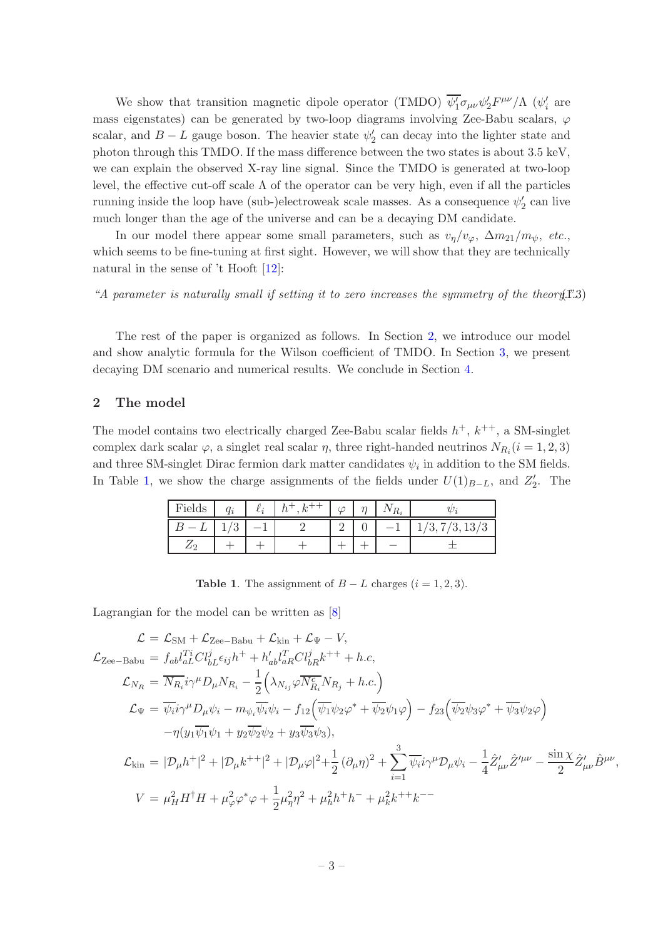We show that transition magnetic dipole operator (TMDO)  $\overline{\psi_1'}\sigma_{\mu\nu}\psi_2'F^{\mu\nu}/\Lambda$  ( $\psi_i'$  are mass eigenstates) can be generated by two-loop diagrams involving Zee-Babu scalars,  $\varphi$ scalar, and  $B - L$  gauge boson. The heavier state  $\psi_2'$  can decay into the lighter state and photon through this TMDO. If the mass difference between the two states is about 3.5 keV, we can explain the observed X-ray line signal. Since the TMDO is generated at two-loop level, the effective cut-off scale  $\Lambda$  of the operator can be very high, even if all the particles running inside the loop have (sub-)electroweak scale masses. As a consequence  $\psi'_2$  can live much longer than the age of the universe and can be a decaying DM candidate.

In our model there appear some small parameters, such as  $v_{\eta}/v_{\varphi}$ ,  $\Delta m_{21}/m_{\psi}$ , etc., which seems to be fine-tuning at first sight. However, we will show that they are technically natural in the sense of 't Hooft [\[12](#page-15-1)]:

<span id="page-3-3"></span>"A parameter is naturally small if setting it to zero increases the symmetry of the theory  $(1.3)$ 

The rest of the paper is organized as follows. In Section [2,](#page-3-0) we introduce our model and show analytic formula for the Wilson coefficient of TMDO. In Section [3,](#page-8-0) we present decaying DM scenario and numerical results. We conclude in Section [4.](#page-12-0)

### <span id="page-3-0"></span>2 The model

The model contains two electrically charged Zee-Babu scalar fields  $h^+$ ,  $k^{++}$ , a SM-singlet complex dark scalar  $\varphi$ , a singlet real scalar  $\eta$ , three right-handed neutrinos  $N_{R_i}$  ( $i = 1, 2, 3$ ) and three SM-singlet Dirac fermion dark matter candidates  $\psi_i$  in addition to the SM fields. In Table [1,](#page-3-1) we show the charge assignments of the fields under  $U(1)_{B-L}$ , and  $Z'_{2}$ . The

| Fields     | $\alpha$ .<br>Чг | $\iota_i$ | $\sim$   | $\sim$ | $R_i$                    |                |
|------------|------------------|-----------|----------|--------|--------------------------|----------------|
|            | ۰<br>◡           |           | $\Omega$ |        | $\overline{\phantom{0}}$ | /3, 13/<br>'3, |
| $\sqrt{2}$ |                  |           |          |        |                          |                |

<span id="page-3-1"></span>Table 1. The assignment of  $B - L$  charges  $(i = 1, 2, 3)$ .

Lagrangian for the model can be written as [\[8](#page-14-4)]

<span id="page-3-2"></span>
$$
\mathcal{L} = \mathcal{L}_{SM} + \mathcal{L}_{Zee-Babu} + \mathcal{L}_{kin} + \mathcal{L}_{\Psi} - V,
$$
\n
$$
\mathcal{L}_{Zee-Babu} = f_{ab}l_{aL}^{Ti}Cl_{bL}^{j} \epsilon_{ij}h^{+} + h'_{ab}l_{aR}^{T}Cl_{bR}^{j}k^{++} + h.c,
$$
\n
$$
\mathcal{L}_{N_R} = \overline{N_{R_i}}i\gamma^{\mu}D_{\mu}N_{R_i} - \frac{1}{2}(\lambda_{N_{ij}}\varphi \overline{N_{R_i}^{c}}N_{R_j} + h.c.)
$$
\n
$$
\mathcal{L}_{\Psi} = \overline{\psi_i}i\gamma^{\mu}D_{\mu}\psi_i - m_{\psi_i}\overline{\psi_i}\psi_i - f_{12}(\overline{\psi_1}\psi_2\varphi^* + \overline{\psi_2}\psi_1\varphi) - f_{23}(\overline{\psi_2}\psi_3\varphi^* + \overline{\psi_3}\psi_2\varphi)
$$
\n
$$
-\eta(y_1\overline{\psi_1}\psi_1 + y_2\overline{\psi_2}\psi_2 + y_3\overline{\psi_3}\psi_3),
$$
\n
$$
\mathcal{L}_{kin} = |\mathcal{D}_{\mu}h^{+}|^2 + |\mathcal{D}_{\mu}k^{++}|^2 + |\mathcal{D}_{\mu}\varphi|^2 + \frac{1}{2}(\partial_{\mu}\eta)^2 + \sum_{i=1}^{3}\overline{\psi_i}i\gamma^{\mu}\mathcal{D}_{\mu}\psi_i - \frac{1}{4}\hat{Z}'_{\mu\nu}\hat{Z}'^{\mu\nu} - \frac{\sin\chi}{2}\hat{Z}'_{\mu\nu}\hat{B}^{\mu\nu},
$$
\n
$$
V = \mu_H^2H^{\dagger}H + \mu_{\varphi}^2\varphi^*\varphi + \frac{1}{2}\mu_{\eta}^2\eta^2 + \mu_h^2h^+h^- + \mu_k^2k^{++}k^{--}
$$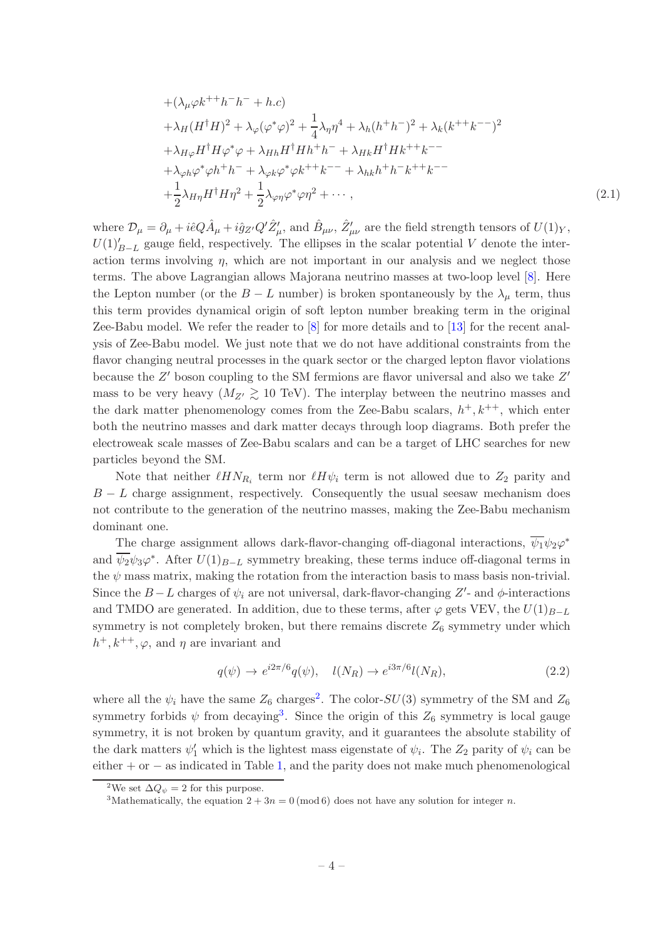+
$$
(\lambda_{\mu}\varphi k^{++}h^{-}h^{-} + h.c)
$$
  
\n+ $\lambda_{H}(H^{\dagger}H)^{2} + \lambda_{\varphi}(\varphi^{*}\varphi)^{2} + \frac{1}{4}\lambda_{\eta}\eta^{4} + \lambda_{h}(h^{+}h^{-})^{2} + \lambda_{k}(k^{++}k^{--})^{2}$   
\n+ $\lambda_{H\varphi}H^{\dagger}H\varphi^{*}\varphi + \lambda_{Hh}H^{\dagger}Hh^{+}h^{-} + \lambda_{Hk}H^{\dagger}Hk^{++}k^{--}$   
\n+ $\lambda_{\varphi h}\varphi^{*}\varphi h^{+}h^{-} + \lambda_{\varphi k}\varphi^{*}\varphi k^{++}k^{--} + \lambda_{hk}h^{+}h^{-}k^{++}k^{--}$   
\n+ $\frac{1}{2}\lambda_{H\eta}H^{\dagger}H\eta^{2} + \frac{1}{2}\lambda_{\varphi\eta}\varphi^{*}\varphi\eta^{2} + \cdots$ , (2.1)

where  $\mathcal{D}_{\mu} = \partial_{\mu} + i\hat{e}Q\hat{A}_{\mu} + i\hat{g}_{Z'}Q'\hat{Z}'_{\mu}$ , and  $\hat{B}_{\mu\nu}$ ,  $\hat{Z}'_{\mu\nu}$  are the field strength tensors of  $U(1)_{Y}$ ,  $U(1)'_{B-L}$  gauge field, respectively. The ellipses in the scalar potential V denote the interaction terms involving  $\eta$ , which are not important in our analysis and we neglect those terms. The above Lagrangian allows Majorana neutrino masses at two-loop level [\[8\]](#page-14-4). Here the Lepton number (or the  $B - L$  number) is broken spontaneously by the  $\lambda_{\mu}$  term, thus this term provides dynamical origin of soft lepton number breaking term in the original Zee-Babu model. We refer the reader to [\[8](#page-14-4)] for more details and to [\[13](#page-15-2)] for the recent analysis of Zee-Babu model. We just note that we do not have additional constraints from the flavor changing neutral processes in the quark sector or the charged lepton flavor violations because the  $Z'$  boson coupling to the SM fermions are flavor universal and also we take  $Z'$ mass to be very heavy  $(M_{Z'} \gtrsim 10 \text{ TeV})$ . The interplay between the neutrino masses and the dark matter phenomenology comes from the Zee-Babu scalars,  $h^+, k^{++}$ , which enter both the neutrino masses and dark matter decays through loop diagrams. Both prefer the electroweak scale masses of Zee-Babu scalars and can be a target of LHC searches for new particles beyond the SM.

Note that neither  $\ell H N_{R_i}$  term nor  $\ell H \psi_i$  term is not allowed due to  $Z_2$  parity and  $B - L$  charge assignment, respectively. Consequently the usual seesaw mechanism does not contribute to the generation of the neutrino masses, making the Zee-Babu mechanism dominant one.

The charge assignment allows dark-flavor-changing off-diagonal interactions,  $\psi_1 \psi_2 \varphi^*$ and  $\psi_2\psi_3\varphi^*$ . After  $U(1)_{B-L}$  symmetry breaking, these terms induce off-diagonal terms in the  $\psi$  mass matrix, making the rotation from the interaction basis to mass basis non-trivial. Since the  $B-L$  charges of  $\psi_i$  are not universal, dark-flavor-changing  $Z'$ - and  $\phi$ -interactions and TMDO are generated. In addition, due to these terms, after  $\varphi$  gets VEV, the  $U(1)_{B-L}$ symmetry is not completely broken, but there remains discrete  $Z_6$  symmetry under which  $h^+, k^{++}, \varphi$ , and  $\eta$  are invariant and

$$
q(\psi) \to e^{i2\pi/6} q(\psi), \quad l(N_R) \to e^{i3\pi/6} l(N_R), \tag{2.2}
$$

where all the  $\psi_i$  have the same  $Z_6$  charges<sup>[2](#page-4-0)</sup>. The color- $SU(3)$  symmetry of the SM and  $Z_6$ symmetry forbids  $\psi$  from decaying<sup>[3](#page-4-1)</sup>. Since the origin of this  $Z_6$  symmetry is local gauge symmetry, it is not broken by quantum gravity, and it guarantees the absolute stability of the dark matters  $\psi'_1$  which is the lightest mass eigenstate of  $\psi_i$ . The  $Z_2$  parity of  $\psi_i$  can be either  $+$  or  $-$  as indicated in Table [1,](#page-3-1) and the parity does not make much phenomenological

<sup>&</sup>lt;sup>2</sup>We set  $\Delta Q_{\psi} = 2$  for this purpose.

<span id="page-4-1"></span><span id="page-4-0"></span><sup>&</sup>lt;sup>3</sup>Mathematically, the equation  $2 + 3n = 0 \pmod{6}$  does not have any solution for integer *n*.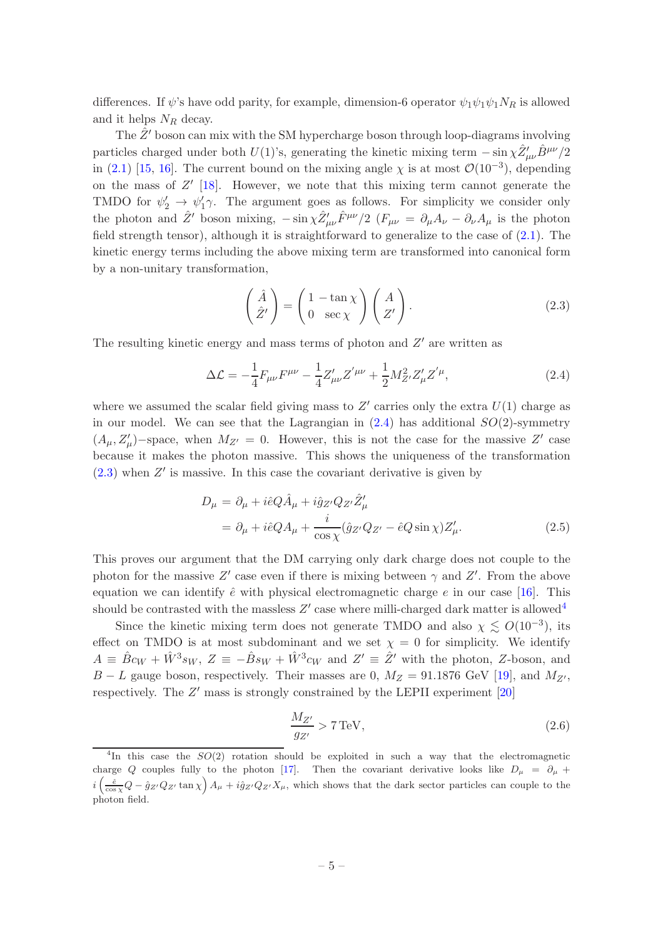differences. If  $\psi$ 's have odd parity, for example, dimension-6 operator  $\psi_1\psi_1\psi_1N_R$  is allowed and it helps  $N_R$  decay.

The  $\hat{Z}'$  boson can mix with the SM hypercharge boson through loop-diagrams involving particles charged under both  $U(1)$ 's, generating the kinetic mixing term  $-\sin \chi \hat{Z}^{\prime}_{\mu\nu} \hat{B}^{\mu\nu}/2$ in [\(2.1\)](#page-3-2) [\[15,](#page-15-3) [16](#page-15-4)]. The current bound on the mixing angle  $\chi$  is at most  $\mathcal{O}(10^{-3})$ , depending on the mass of Z ′ [\[18\]](#page-15-5). However, we note that this mixing term cannot generate the TMDO for  $\psi_2' \to \psi_1' \gamma$ . The argument goes as follows. For simplicity we consider only the photon and  $\hat{Z}'$  boson mixing,  $-\sin\chi \hat{Z}'_{\mu\nu} \hat{F}^{\mu\nu}/2$  ( $F_{\mu\nu} = \partial_{\mu}A_{\nu} - \partial_{\nu}A_{\mu}$  is the photon field strength tensor), although it is straightforward to generalize to the case of [\(2.1\)](#page-3-2). The kinetic energy terms including the above mixing term are transformed into canonical form by a non-unitary transformation,

<span id="page-5-1"></span>
$$
\begin{pmatrix} \hat{A} \\ \hat{Z}' \end{pmatrix} = \begin{pmatrix} 1 - \tan \chi \\ 0 \ \sec \chi \end{pmatrix} \begin{pmatrix} A \\ Z' \end{pmatrix}.
$$
 (2.3)

The resulting kinetic energy and mass terms of photon and  $Z'$  are written as

<span id="page-5-0"></span>
$$
\Delta \mathcal{L} = -\frac{1}{4} F_{\mu\nu} F^{\mu\nu} - \frac{1}{4} Z'_{\mu\nu} Z^{'\mu\nu} + \frac{1}{2} M_{Z'}^2 Z'_{\mu} Z^{'\mu}, \qquad (2.4)
$$

where we assumed the scalar field giving mass to  $Z'$  carries only the extra  $U(1)$  charge as in our model. We can see that the Lagrangian in  $(2.4)$  has additional  $SO(2)$ -symmetry  $(A_{\mu}, Z_{\mu}')$ -space, when  $M_{Z'} = 0$ . However, this is not the case for the massive Z' case because it makes the photon massive. This shows the uniqueness of the transformation  $(2.3)$  when  $Z'$  is massive. In this case the covariant derivative is given by

$$
D_{\mu} = \partial_{\mu} + i\hat{e}Q\hat{A}_{\mu} + i\hat{g}_{Z'}Q_{Z'}\hat{Z}'_{\mu}
$$
  
=  $\partial_{\mu} + i\hat{e}QA_{\mu} + \frac{i}{\cos\chi}(\hat{g}_{Z'}Q_{Z'} - \hat{e}Q\sin\chi)Z'_{\mu}.$  (2.5)

This proves our argument that the DM carrying only dark charge does not couple to the photon for the massive Z' case even if there is mixing between  $\gamma$  and Z'. From the above equation we can identify  $\hat{e}$  with physical electromagnetic charge  $e$  in our case [\[16\]](#page-15-4). This should be contrasted with the massless  $Z'$  case where milli-charged dark matter is allowed<sup>[4](#page-5-2)</sup>

Since the kinetic mixing term does not generate TMDO and also  $\chi \lesssim O(10^{-3})$ , its effect on TMDO is at most subdominant and we set  $\chi = 0$  for simplicity. We identify  $A \equiv \hat{B}c_W + \hat{W}^3 s_W$ ,  $Z \equiv -\hat{B} s_W + \hat{W}^3 c_W$  and  $Z' \equiv \hat{Z}'$  with the photon, Z-boson, and  $B - L$  gauge boson, respectively. Their masses are 0,  $M_Z = 91.1876$  GeV [\[19](#page-15-6)], and  $M_{Z'}$ , respectively. The Z' mass is strongly constrained by the LEPII experiment [\[20](#page-15-7)]

<span id="page-5-3"></span>
$$
\frac{M_{Z'}}{g_{Z'}} > 7 \,\text{TeV},\tag{2.6}
$$

<span id="page-5-2"></span><sup>&</sup>lt;sup>4</sup>In this case the  $SO(2)$  rotation should be exploited in such a way that the electromagnetic charge Q couples fully to the photon [\[17\]](#page-15-8). Then the covariant derivative looks like  $D_{\mu} = \partial_{\mu} +$  $i\left(\frac{\hat{e}}{\cos\chi}Q-\hat{g}_{Z'}Q_{Z'}\tan\chi\right)A_{\mu}+i\hat{g}_{Z'}Q_{Z'}X_{\mu}$ , which shows that the dark sector particles can couple to the photon field.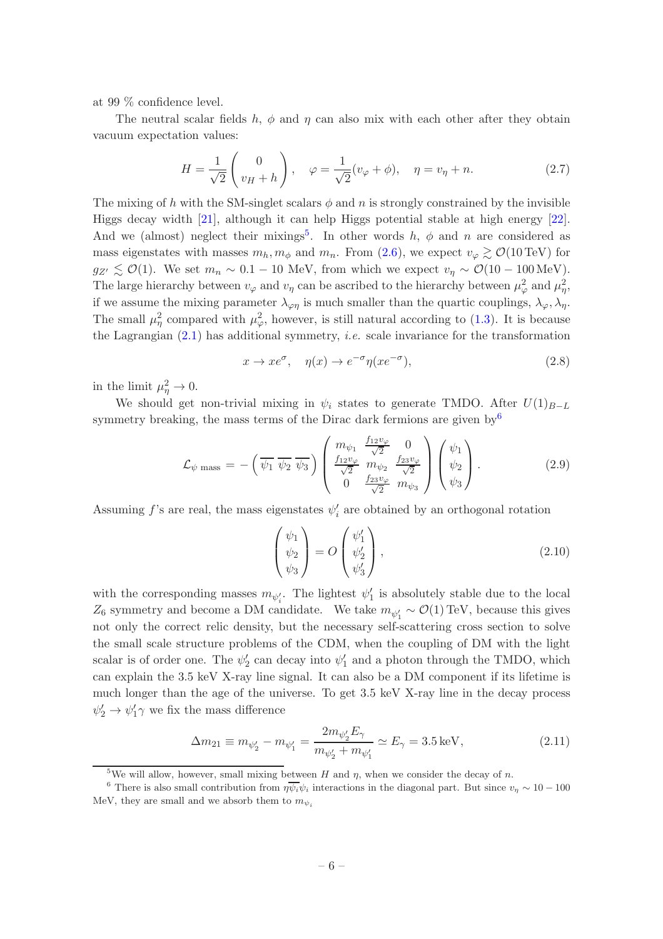at 99 % confidence level.

The neutral scalar fields h,  $\phi$  and  $\eta$  can also mix with each other after they obtain vacuum expectation values:

$$
H = \frac{1}{\sqrt{2}} \begin{pmatrix} 0 \\ v_H + h \end{pmatrix}, \quad \varphi = \frac{1}{\sqrt{2}} (v_\varphi + \phi), \quad \eta = v_\eta + n. \tag{2.7}
$$

The mixing of h with the SM-singlet scalars  $\phi$  and n is strongly constrained by the invisible Higgs decay width [\[21](#page-15-9)], although it can help Higgs potential stable at high energy [\[22\]](#page-15-10). And we (almost) neglect their mixings<sup>[5](#page-6-0)</sup>. In other words  $h, \phi$  and n are considered as mass eigenstates with masses  $m_h, m_\phi$  and  $m_n$ . From [\(2.6\)](#page-5-3), we expect  $v_\varphi \gtrsim \mathcal{O}(10 \,\text{TeV})$  for  $g_{Z'} \lesssim \mathcal{O}(1)$ . We set  $m_n \sim 0.1 - 10$  MeV, from which we expect  $v_\eta \sim \mathcal{O}(10 - 100 \,\text{MeV})$ . The large hierarchy between  $v_{\varphi}$  and  $v_{\eta}$  can be ascribed to the hierarchy between  $\mu_{\varphi}^2$  and  $\mu_{\eta}^2$ , if we assume the mixing parameter  $\lambda_{\varphi\eta}$  is much smaller than the quartic couplings,  $\lambda_{\varphi}, \lambda_{\eta}$ . The small  $\mu_{\eta}^2$  compared with  $\mu_{\varphi}^2$ , however, is still natural according to [\(1.3\)](#page-3-3). It is because the Lagrangian  $(2.1)$  has additional symmetry, *i.e.* scale invariance for the transformation

$$
x \to x e^{\sigma}, \quad \eta(x) \to e^{-\sigma} \eta(x e^{-\sigma}), \tag{2.8}
$$

in the limit  $\mu_{\eta}^2 \to 0$ .

We should get non-trivial mixing in  $\psi_i$  states to generate TMDO. After  $U(1)_{B-L}$ symmetry breaking, the mass terms of the Dirac dark fermions are given by  $6\%$  $6\%$ 

$$
\mathcal{L}_{\psi \text{ mass}} = -\left(\overline{\psi_1} \, \overline{\psi_2} \, \overline{\psi_3}\right) \begin{pmatrix} m_{\psi_1} & \frac{f_{12}v_{\varphi}}{\sqrt{2}} & 0\\ \frac{f_{12}v_{\varphi}}{\sqrt{2}} & m_{\psi_2} & \frac{f_{23}v_{\varphi}}{\sqrt{2}}\\ 0 & \frac{f_{23}v_{\varphi}}{\sqrt{2}} & m_{\psi_3} \end{pmatrix} \begin{pmatrix} \psi_1\\ \psi_2\\ \psi_3 \end{pmatrix} . \tag{2.9}
$$

Assuming  $f$ 's are real, the mass eigenstates  $\psi'_i$  are obtained by an orthogonal rotation

$$
\begin{pmatrix} \psi_1 \\ \psi_2 \\ \psi_3 \end{pmatrix} = O \begin{pmatrix} \psi'_1 \\ \psi'_2 \\ \psi'_3 \end{pmatrix},
$$
\n(2.10)

with the corresponding masses  $m_{\psi'_i}$ . The lightest  $\psi'_1$  is absolutely stable due to the local  $Z_6$  symmetry and become a DM candidate. We take  $m_{\psi'_1} \sim \mathcal{O}(1)$  TeV, because this gives not only the correct relic density, but the necessary self-scattering cross section to solve the small scale structure problems of the CDM, when the coupling of DM with the light scalar is of order one. The  $\psi'_2$  can decay into  $\psi'_1$  and a photon through the TMDO, which can explain the 3.5 keV X-ray line signal. It can also be a DM component if its lifetime is much longer than the age of the universe. To get 3.5 keV X-ray line in the decay process  $\psi'_2 \to \psi'_1 \gamma$  we fix the mass difference

$$
\Delta m_{21} \equiv m_{\psi'_2} - m_{\psi'_1} = \frac{2m_{\psi'_2}E_\gamma}{m_{\psi'_2} + m_{\psi'_1}} \simeq E_\gamma = 3.5 \,\text{keV},\tag{2.11}
$$

<span id="page-6-0"></span><sup>&</sup>lt;sup>5</sup>We will allow, however, small mixing between H and  $\eta$ , when we consider the decay of n.

<span id="page-6-1"></span><sup>&</sup>lt;sup>6</sup> There is also small contribution from  $\eta \overline{\psi_i} \psi_i$  interactions in the diagonal part. But since  $v_\eta \sim 10 - 100$ MeV, they are small and we absorb them to  $m_{\psi}$ .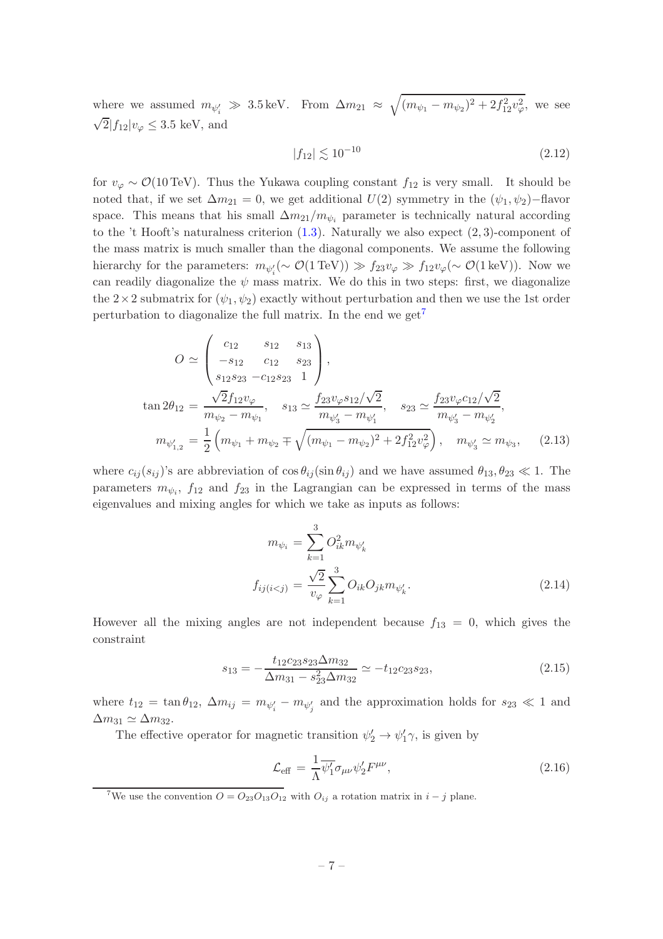where we assumed  $m_{\psi'_i} \gg 3.5 \,\text{keV}$ . From  $\Delta m_{21} \approx \sqrt{(m_{\psi_1} - m_{\psi_2})^2 + 2f_{12}^2 v_{\varphi}^2}$ , we see  $\sqrt{2}|f_{12}|v_{\varphi} \leq 3.5$  keV, and

$$
|f_{12}| \lesssim 10^{-10} \tag{2.12}
$$

for  $v_{\varphi} \sim \mathcal{O}(10 \,\text{TeV})$ . Thus the Yukawa coupling constant  $f_{12}$  is very small. It should be noted that, if we set  $\Delta m_{21} = 0$ , we get additional  $U(2)$  symmetry in the  $(\psi_1, \psi_2)$ −flavor space. This means that his small  $\Delta m_{21}/m_{\psi_i}$  parameter is technically natural according to the 't Hooft's naturalness criterion  $(1.3)$ . Naturally we also expect  $(2, 3)$ -component of the mass matrix is much smaller than the diagonal components. We assume the following hierarchy for the parameters:  $m_{\psi_i'}(\sim \mathcal{O}(1 \text{ TeV})) \gg f_{23}v_{\varphi} \gg f_{12}v_{\varphi}(\sim \mathcal{O}(1 \text{ keV}))$ . Now we can readily diagonalize the  $\psi$  mass matrix. We do this in two steps: first, we diagonalize the  $2\times 2$  submatrix for  $(\psi_1, \psi_2)$  exactly without perturbation and then we use the 1st order perturbation to diagonalize the full matrix. In the end we get<sup>[7](#page-7-0)</sup>

$$
O \simeq \begin{pmatrix} c_{12} & s_{12} & s_{13} \\ -s_{12} & c_{12} & s_{23} \\ s_{12}s_{23} & -c_{12}s_{23} & 1 \end{pmatrix},
$$
  
\n
$$
\tan 2\theta_{12} = \frac{\sqrt{2}f_{12}v_{\varphi}}{m_{\psi_2} - m_{\psi_1}}, \quad s_{13} \simeq \frac{f_{23}v_{\varphi}s_{12}/\sqrt{2}}{m_{\psi_3} - m_{\psi_1'}}, \quad s_{23} \simeq \frac{f_{23}v_{\varphi}c_{12}/\sqrt{2}}{m_{\psi_3} - m_{\psi_2'}},
$$
  
\n
$$
m_{\psi_{1,2}'} = \frac{1}{2} \left( m_{\psi_1} + m_{\psi_2} \mp \sqrt{(m_{\psi_1} - m_{\psi_2})^2 + 2f_{12}^2 v_{\varphi}^2} \right), \quad m_{\psi_3'} \simeq m_{\psi_3}, \quad (2.13)
$$

where  $c_{ij}(s_{ij})$ 's are abbreviation of  $\cos \theta_{ij}(\sin \theta_{ij})$  and we have assumed  $\theta_{13}, \theta_{23} \ll 1$ . The parameters  $m_{\psi_i}$ ,  $f_{12}$  and  $f_{23}$  in the Lagrangian can be expressed in terms of the mass eigenvalues and mixing angles for which we take as inputs as follows:

$$
m_{\psi_i} = \sum_{k=1}^{3} O_{ik}^2 m_{\psi'_k}
$$
  

$$
f_{ij(i (2.14)
$$

However all the mixing angles are not independent because  $f_{13} = 0$ , which gives the constraint

$$
s_{13} = -\frac{t_{12}c_{23}s_{23}\Delta m_{32}}{\Delta m_{31} - s_{23}^2 \Delta m_{32}} \simeq -t_{12}c_{23}s_{23},\tag{2.15}
$$

where  $t_{12} = \tan \theta_{12}$ ,  $\Delta m_{ij} = m_{\psi'_i} - m_{\psi'_j}$  and the approximation holds for  $s_{23} \ll 1$  and  $\Delta m_{31} \simeq \Delta m_{32}$ .

The effective operator for magnetic transition  $\psi'_2 \to \psi'_1 \gamma$ , is given by

<span id="page-7-1"></span>
$$
\mathcal{L}_{\text{eff}} = \frac{1}{\Lambda} \overline{\psi_1'} \sigma_{\mu\nu} \psi_2' F^{\mu\nu}, \qquad (2.16)
$$

<span id="page-7-0"></span><sup>7</sup>We use the convention  $O = O_{23}O_{13}O_{12}$  with  $O_{ij}$  a rotation matrix in  $i - j$  plane.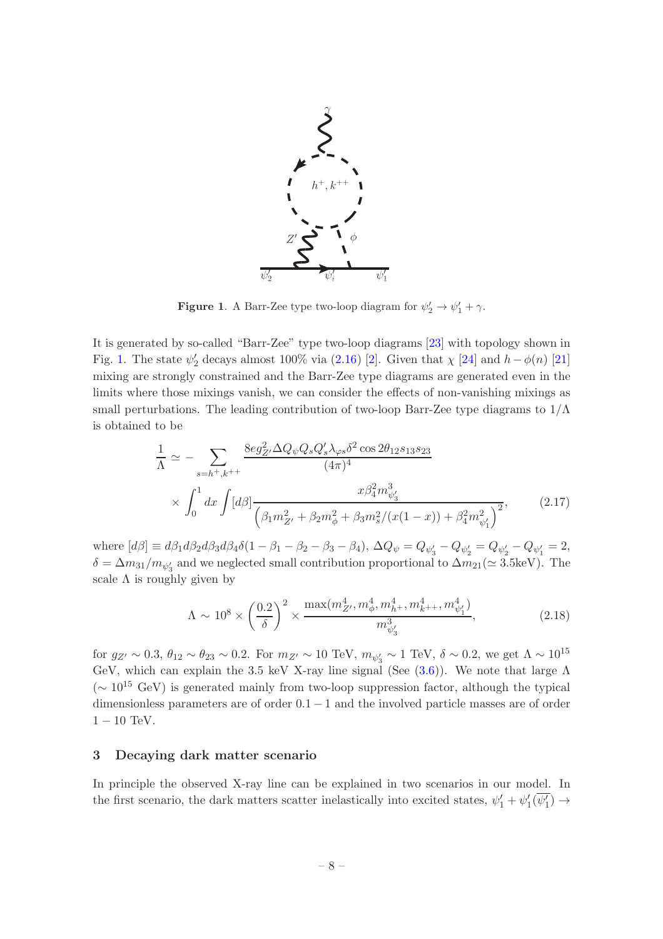

<span id="page-8-1"></span>**Figure 1.** A Barr-Zee type two-loop diagram for  $\psi'_2 \to \psi'_1 + \gamma$ .

It is generated by so-called "Barr-Zee" type two-loop diagrams [\[23\]](#page-15-11) with topology shown in Fig. [1.](#page-8-1) The state  $\psi'_2$  decays almost 100% via [\(2.16\)](#page-7-1) [\[2](#page-14-0)]. Given that  $\chi$  [\[24](#page-15-12)] and  $h-\phi(n)$  [\[21\]](#page-15-9) mixing are strongly constrained and the Barr-Zee type diagrams are generated even in the limits where those mixings vanish, we can consider the effects of non-vanishing mixings as small perturbations. The leading contribution of two-loop Barr-Zee type diagrams to  $1/\Lambda$ is obtained to be

<span id="page-8-2"></span>
$$
\frac{1}{\Lambda} \simeq -\sum_{s=h^+,k^{++}} \frac{8eg_{Z'}^2 \Delta Q_{\psi} Q_s Q_s' \lambda_{\varphi s} \delta^2 \cos 2\theta_{12} s_{13} s_{23}}{(4\pi)^4} \times \int_0^1 dx \int [d\beta] \frac{x\beta_4^2 m_{\psi_3'}^3}{\left(\beta_1 m_{Z'}^2 + \beta_2 m_{\phi}^2 + \beta_3 m_s^2/(x(1-x)) + \beta_4^2 m_{\psi_1'}^2\right)^2},
$$
\n(2.17)

where  $[d\beta] \equiv d\beta_1 d\beta_2 d\beta_3 d\beta_4 \delta(1 - \beta_1 - \beta_2 - \beta_3 - \beta_4)$ ,  $\Delta Q_{\psi} = Q_{\psi'_3} - Q_{\psi'_2} - Q_{\psi'_2} - Q_{\psi'_1} = 2$ ,  $\delta = \Delta m_{31}/m_{\psi'_3}$  and we neglected small contribution proportional to  $\Delta m_{21} (\simeq 3.5 \text{keV})$ . The scale  $\Lambda$  is roughly given by

$$
\Lambda \sim 10^8 \times \left(\frac{0.2}{\delta}\right)^2 \times \frac{\max(m_{Z'}^4, m_{\phi'}^4, m_{h^+}^4, m_{k^{++}}^4, m_{\psi'_1'}^4)}{m_{\psi'_3'}^3},\tag{2.18}
$$

for  $g_{Z'} \sim 0.3$ ,  $\theta_{12} \sim \theta_{23} \sim 0.2$ . For  $m_{Z'} \sim 10$  TeV,  $m_{\psi_3'} \sim 1$  TeV,  $\delta \sim 0.2$ , we get  $\Lambda \sim 10^{15}$ GeV, which can explain the 3.5 keV X-ray line signal (See  $(3.6)$ ). We note that large  $\Lambda$ ( $\sim 10^{15}$  GeV) is generated mainly from two-loop suppression factor, although the typical dimensionless parameters are of order  $0.1 - 1$  and the involved particle masses are of order  $1 - 10$  TeV.

## <span id="page-8-0"></span>3 Decaying dark matter scenario

In principle the observed X-ray line can be explained in two scenarios in our model. In the first scenario, the dark matters scatter inelastically into excited states,  $\psi'_1 + \psi'_1(\psi'_1) \rightarrow$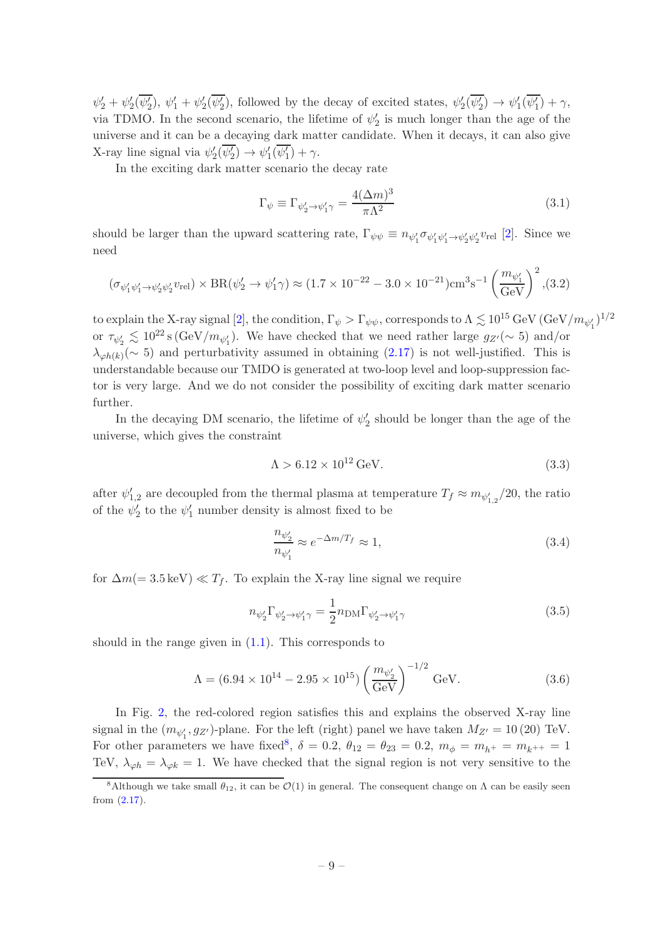$\psi'_2 + \psi'_2(\psi'_2), \psi'_1 + \psi'_2(\psi'_2)$ , followed by the decay of excited states,  $\psi'_2(\psi'_2) \to \psi'_1(\psi'_1) + \gamma$ , via TDMO. In the second scenario, the lifetime of  $\psi'_2$  is much longer than the age of the universe and it can be a decaying dark matter candidate. When it decays, it can also give X-ray line signal via  $\psi_2'(\psi_2') \to \psi_1'(\psi_1') + \gamma$ .

In the exciting dark matter scenario the decay rate

$$
\Gamma_{\psi} \equiv \Gamma_{\psi_2' \to \psi_1' \gamma} = \frac{4(\Delta m)^3}{\pi \Lambda^2} \tag{3.1}
$$

should be larger than the upward scattering rate,  $\Gamma_{\psi\psi} \equiv n_{\psi'_1} \sigma_{\psi'_1 \psi'_1 \to \psi'_2 \psi'_2} v_{rel}$  [\[2\]](#page-14-0). Since we need

$$
(\sigma_{\psi'_1 \psi'_1 \to \psi'_2 \psi'_2} v_{\text{rel}}) \times \text{BR}(\psi'_2 \to \psi'_1 \gamma) \approx (1.7 \times 10^{-22} - 3.0 \times 10^{-21}) \text{cm}^3 \text{s}^{-1} \left(\frac{m_{\psi'_1}}{\text{GeV}}\right)^2, (3.2)
$$

to explain the X-ray signal [\[2](#page-14-0)], the condition,  $\Gamma_\psi > \Gamma_{\psi\psi}$ , corresponds to  $\Lambda \lesssim 10^{15}\,{\rm GeV\,({\rm GeV}/m_{\psi_1'})^{1/2}$ or  $\tau_{\psi_2'} \lesssim 10^{22} \text{ s (GeV}/m_{\psi_1'})$ . We have checked that we need rather large  $g_{Z'}(\sim 5)$  and/or  $\lambda_{\varphi h(k)}(\sim 5)$  and perturbativity assumed in obtaining [\(2.17\)](#page-8-2) is not well-justified. This is understandable because our TMDO is generated at two-loop level and loop-suppression factor is very large. And we do not consider the possibility of exciting dark matter scenario further.

In the decaying DM scenario, the lifetime of  $\psi'_2$  should be longer than the age of the universe, which gives the constraint

<span id="page-9-2"></span>
$$
\Lambda > 6.12 \times 10^{12} \,\text{GeV}.\tag{3.3}
$$

after  $\psi'_{1,2}$  are decoupled from the thermal plasma at temperature  $T_f \approx m_{\psi'_{1,2}}/20$ , the ratio of the  $\psi'_2$  to the  $\psi'_1$  number density is almost fixed to be

$$
\frac{n_{\psi_2'}}{n_{\psi_1'}} \approx e^{-\Delta m/T_f} \approx 1,
$$
\n(3.4)

for  $\Delta m (= 3.5 \text{ keV}) \ll T_f$ . To explain the X-ray line signal we require

$$
n_{\psi_2'} \Gamma_{\psi_2' \to \psi_1' \gamma} = \frac{1}{2} n_{\rm DM} \Gamma_{\psi_2' \to \psi_1' \gamma}
$$
\n(3.5)

should in the range given in  $(1.1)$ . This corresponds to

<span id="page-9-0"></span>
$$
\Lambda = (6.94 \times 10^{14} - 2.95 \times 10^{15}) \left(\frac{m_{\psi_2'}}{\text{GeV}}\right)^{-1/2} \text{GeV}.
$$
 (3.6)

In Fig. [2,](#page-11-0) the red-colored region satisfies this and explains the observed X-ray line signal in the  $(m_{\psi'_1}, g_{Z'})$ -plane. For the left (right) panel we have taken  $M_{Z'} = 10(20)$  TeV. For other parameters we have fixed<sup>[8](#page-9-1)</sup>,  $\delta = 0.2$ ,  $\theta_{12} = \theta_{23} = 0.2$ ,  $m_{\phi} = m_{h^{+}} = m_{k^{++}} = 1$ TeV,  $\lambda_{\varphi h} = \lambda_{\varphi k} = 1$ . We have checked that the signal region is not very sensitive to the

<span id="page-9-1"></span><sup>&</sup>lt;sup>8</sup>Although we take small  $\theta_{12}$ , it can be  $\mathcal{O}(1)$  in general. The consequent change on  $\Lambda$  can be easily seen from [\(2.17\)](#page-8-2).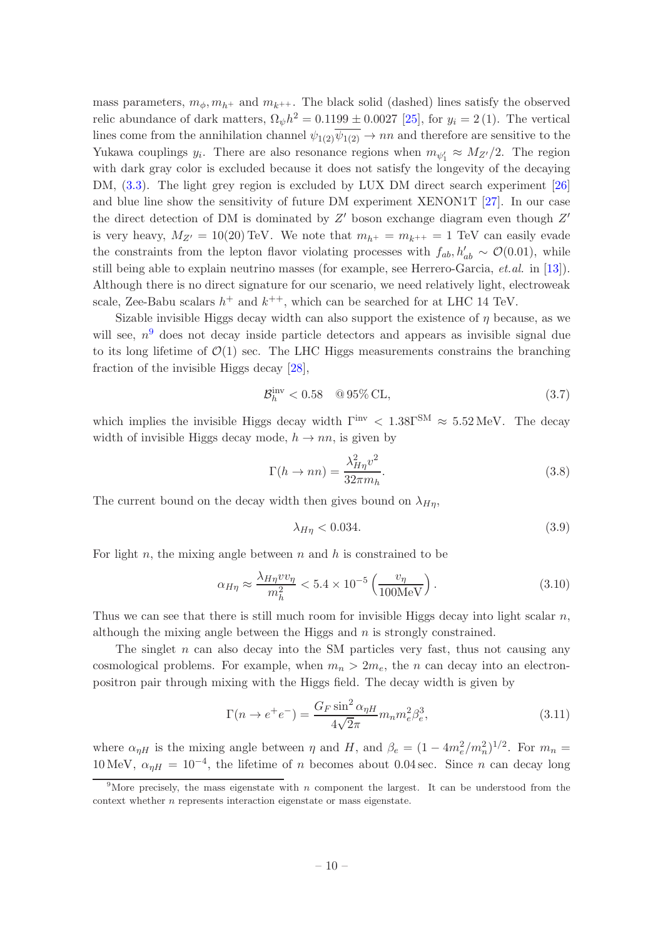mass parameters,  $m_{\phi}, m_{h^{+}}$  and  $m_{k^{++}}$ . The black solid (dashed) lines satisfy the observed relic abundance of dark matters,  $\Omega_{\psi}h^2 = 0.1199 \pm 0.0027$  [\[25\]](#page-15-13), for  $y_i = 2(1)$ . The vertical lines come from the annihilation channel  $\psi_{1(2)}\psi_{1(2)} \rightarrow nn$  and therefore are sensitive to the Yukawa couplings  $y_i$ . There are also resonance regions when  $m_{\psi'_1} \approx M_{Z'}/2$ . The region with dark gray color is excluded because it does not satisfy the longevity of the decaying DM, [\(3.3\)](#page-9-2). The light grey region is excluded by LUX DM direct search experiment [\[26\]](#page-15-14) and blue line show the sensitivity of future DM experiment XENON1T [\[27](#page-15-15)]. In our case the direct detection of DM is dominated by  $Z'$  boson exchange diagram even though  $Z'$ is very heavy,  $M_{Z'} = 10(20) \text{ TeV}$ . We note that  $m_{h^+} = m_{k^{++}} = 1 \text{ TeV}$  can easily evade the constraints from the lepton flavor violating processes with  $f_{ab}, h'_{ab} \sim \mathcal{O}(0.01)$ , while still being able to explain neutrino masses (for example, see Herrero-Garcia, *et.al.* in [\[13](#page-15-2)]). Although there is no direct signature for our scenario, we need relatively light, electroweak scale, Zee-Babu scalars  $h^+$  and  $k^{++}$ , which can be searched for at LHC 14 TeV.

Sizable invisible Higgs decay width can also support the existence of  $\eta$  because, as we will see,  $n<sup>9</sup>$  $n<sup>9</sup>$  $n<sup>9</sup>$  does not decay inside particle detectors and appears as invisible signal due to its long lifetime of  $\mathcal{O}(1)$  sec. The LHC Higgs measurements constrains the branching fraction of the invisible Higgs decay [\[28\]](#page-15-16),

$$
\mathcal{B}_h^{\text{inv}} < 0.58 \quad \text{Q } 95\% \text{ CL},\tag{3.7}
$$

which implies the invisible Higgs decay width  $\Gamma^{\text{inv}} < 1.38 \Gamma^{\text{SM}} \approx 5.52 \text{ MeV}$ . The decay width of invisible Higgs decay mode,  $h \to nn$ , is given by

$$
\Gamma(h \to nn) = \frac{\lambda_{H\eta}^2 v^2}{32\pi m_h}.
$$
\n(3.8)

The current bound on the decay width then gives bound on  $\lambda_{H\eta}$ ,

$$
\lambda_{H\eta} < 0.034. \tag{3.9}
$$

For light n, the mixing angle between  $n$  and  $h$  is constrained to be

$$
\alpha_{H\eta} \approx \frac{\lambda_{H\eta} v v_{\eta}}{m_h^2} < 5.4 \times 10^{-5} \left( \frac{v_{\eta}}{100 \, \text{MeV}} \right). \tag{3.10}
$$

Thus we can see that there is still much room for invisible Higgs decay into light scalar  $n$ , although the mixing angle between the Higgs and  $n$  is strongly constrained.

The singlet  $n$  can also decay into the SM particles very fast, thus not causing any cosmological problems. For example, when  $m_n > 2m_e$ , the n can decay into an electronpositron pair through mixing with the Higgs field. The decay width is given by

$$
\Gamma(n \to e^+e^-) = \frac{G_F \sin^2 \alpha_{\eta H}}{4\sqrt{2}\pi} m_n m_e^2 \beta_e^3,
$$
\n(3.11)

where  $\alpha_{\eta}$  is the mixing angle between  $\eta$  and H, and  $\beta_e = (1 - 4m_e^2/m_n^2)^{1/2}$ . For  $m_n =$ 10 MeV,  $\alpha_{\eta H} = 10^{-4}$ , the lifetime of n becomes about 0.04 sec. Since n can decay long

<span id="page-10-0"></span><sup>&</sup>lt;sup>9</sup>More precisely, the mass eigenstate with n component the largest. It can be understood from the context whether n represents interaction eigenstate or mass eigenstate.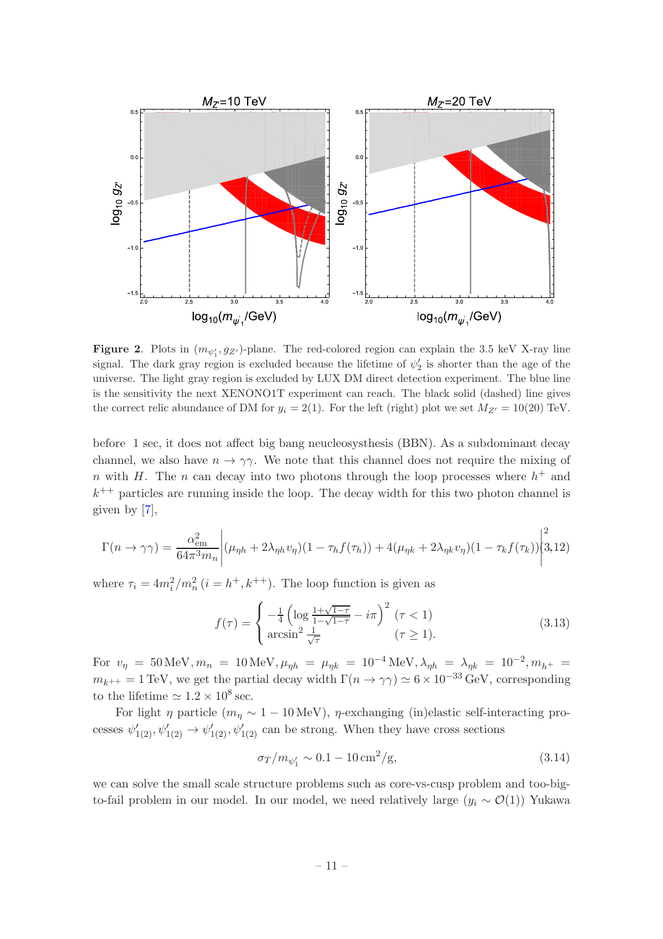

<span id="page-11-0"></span>**Figure 2.** Plots in  $(m_{\psi'_1}, g_{Z'})$ -plane. The red-colored region can explain the 3.5 keV X-ray line signal. The dark gray region is excluded because the lifetime of  $\psi_2'$  is shorter than the age of the universe. The light gray region is excluded by LUX DM direct detection experiment. The blue line is the sensitivity the next XENONO1T experiment can reach. The black solid (dashed) line gives the correct relic abundance of DM for  $y_i = 2(1)$ . For the left (right) plot we set  $M_{Z'} = 10(20)$  TeV.

before 1 sec, it does not affect big bang neucleosysthesis (BBN). As a subdominant decay channel, we also have  $n \to \gamma \gamma$ . We note that this channel does not require the mixing of n with H. The n can decay into two photons through the loop processes where  $h^+$  and  $k^{++}$  particles are running inside the loop. The decay width for this two photon channel is given by [\[7](#page-14-3)],

$$
\Gamma(n \to \gamma \gamma) = \frac{\alpha_{\text{em}}^2}{64\pi^3 m_n} \left| (\mu_{\eta h} + 2\lambda_{\eta h} v_{\eta})(1 - \tau_h f(\tau_h)) + 4(\mu_{\eta k} + 2\lambda_{\eta k} v_{\eta})(1 - \tau_k f(\tau_k)) \right|^2 \tag{3.12}
$$

where  $\tau_i = 4m_i^2/m_n^2$   $(i = h^+, k^{++})$ . The loop function is given as

$$
f(\tau) = \begin{cases} -\frac{1}{4} \left( \log \frac{1 + \sqrt{1 - \tau}}{1 - \sqrt{1 - \tau}} - i\pi \right)^2 (\tau < 1) \\ \arcsin^2 \frac{1}{\sqrt{\tau}} \end{cases} (\tau \ge 1).
$$
 (3.13)

For  $v_{\eta} = 50 \text{ MeV}, m_n = 10 \text{ MeV}, \mu_{\eta h} = \mu_{\eta k} = 10^{-4} \text{ MeV}, \lambda_{\eta h} = \lambda_{\eta k} = 10^{-2}, m_{h^+} =$  $m_{k^{++}} = 1 \text{ TeV}$ , we get the partial decay width  $\Gamma(n \to \gamma \gamma) \simeq 6 \times 10^{-33} \text{ GeV}$ , corresponding to the lifetime  $\simeq 1.2 \times 10^8$  sec.

For light  $\eta$  particle  $(m_n \sim 1 - 10 \,\text{MeV})$ ,  $\eta$ -exchanging (in)elastic self-interacting processes  $\psi'_{1(2)}, \psi'_{1(2)} \rightarrow \psi'_{1(2)}, \psi'_{1(2)}$  can be strong. When they have cross sections

$$
\sigma_T/m_{\psi_1'} \sim 0.1 - 10 \,\text{cm}^2/\text{g},\tag{3.14}
$$

we can solve the small scale structure problems such as core-vs-cusp problem and too-bigto-fail problem in our model. In our model, we need relatively large  $(y_i \sim \mathcal{O}(1))$  Yukawa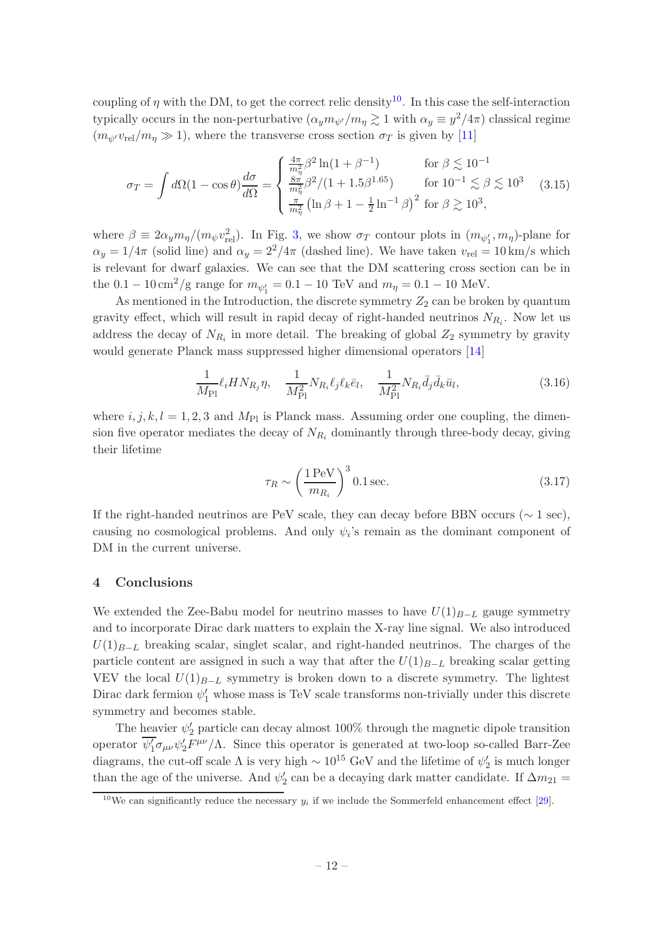coupling of  $\eta$  with the DM, to get the correct relic density<sup>[10](#page-12-1)</sup>. In this case the self-interaction typically occurs in the non-perturbative  $(\alpha_y m_{\psi'}/m_\eta \gtrsim 1$  with  $\alpha_y \equiv y^2/4\pi$ ) classical regime  $(m_{\psi'}v_{\text{rel}}/m_{\eta} \gg 1)$ , where the transverse cross section  $\sigma_T$  is given by [\[11](#page-15-0)]

$$
\sigma_T = \int d\Omega (1 - \cos \theta) \frac{d\sigma}{d\Omega} = \begin{cases} \frac{4\pi}{m_\eta^2} \beta^2 \ln(1 + \beta^{-1}) & \text{for } \beta \lesssim 10^{-1} \\ \frac{8\pi}{m_\eta^2} \beta^2 / (1 + 1.5\beta^{1.65}) & \text{for } 10^{-1} \lesssim \beta \lesssim 10^3 \\ \frac{\pi}{m_\eta^2} \left( \ln \beta + 1 - \frac{1}{2} \ln^{-1} \beta \right)^2 & \text{for } \beta \gtrsim 10^3, \end{cases}
$$
(3.15)

where  $\beta \equiv 2\alpha_y m_\eta/(m_\psi v_{\rm rel}^2)$ . In Fig. [3,](#page-13-1) we show  $\sigma_T$  contour plots in  $(m_{\psi'_1}, m_\eta)$ -plane for  $\alpha_y = 1/4\pi$  (solid line) and  $\alpha_y = 2^2/4\pi$  (dashed line). We have taken  $v_{rel} = 10 \text{ km/s}$  which is relevant for dwarf galaxies. We can see that the DM scattering cross section can be in the  $0.1 - 10 \,\mathrm{cm}^2/\mathrm{g}$  range for  $m_{\psi_1'} = 0.1 - 10 \,\mathrm{TeV}$  and  $m_{\eta} = 0.1 - 10 \,\mathrm{MeV}$ .

As mentioned in the Introduction, the discrete symmetry  $Z_2$  can be broken by quantum gravity effect, which will result in rapid decay of right-handed neutrinos  $N_{R_i}$ . Now let us address the decay of  $N_{R_i}$  in more detail. The breaking of global  $Z_2$  symmetry by gravity would generate Planck mass suppressed higher dimensional operators [\[14](#page-15-17)]

$$
\frac{1}{M_{\rm Pl}} \ell_i H N_{R_j} \eta, \quad \frac{1}{M_{\rm Pl}^2} N_{R_i} \ell_j \ell_k \bar{e}_l, \quad \frac{1}{M_{\rm Pl}^2} N_{R_i} \bar{d}_j \bar{d}_k \bar{u}_l,\tag{3.16}
$$

where  $i, j, k, l = 1, 2, 3$  and  $M_{\text{Pl}}$  is Planck mass. Assuming order one coupling, the dimension five operator mediates the decay of  $N_{R_i}$  dominantly through three-body decay, giving their lifetime

$$
\tau_R \sim \left(\frac{1 \,\text{PeV}}{m_{R_i}}\right)^3 0.1 \,\text{sec.} \tag{3.17}
$$

If the right-handed neutrinos are PeV scale, they can decay before BBN occurs ( $\sim 1$  sec), causing no cosmological problems. And only  $\psi_i$ 's remain as the dominant component of DM in the current universe.

#### <span id="page-12-0"></span>4 Conclusions

We extended the Zee-Babu model for neutrino masses to have  $U(1)_{B-L}$  gauge symmetry and to incorporate Dirac dark matters to explain the X-ray line signal. We also introduced  $U(1)_{B-L}$  breaking scalar, singlet scalar, and right-handed neutrinos. The charges of the particle content are assigned in such a way that after the  $U(1)_{B-L}$  breaking scalar getting VEV the local  $U(1)_{B-L}$  symmetry is broken down to a discrete symmetry. The lightest Dirac dark fermion  $\psi'_1$  whose mass is TeV scale transforms non-trivially under this discrete symmetry and becomes stable.

The heavier  $\psi'_2$  particle can decay almost 100% through the magnetic dipole transition operator  $\overline{\psi_1'}\sigma_{\mu\nu}\psi_2'F^{\mu\nu}/\Lambda$ . Since this operator is generated at two-loop so-called Barr-Zee diagrams, the cut-off scale  $\Lambda$  is very high  $\sim 10^{15}$  GeV and the lifetime of  $\psi'_2$  is much longer than the age of the universe. And  $\psi'_2$  can be a decaying dark matter candidate. If  $\Delta m_{21} =$ 

<span id="page-12-1"></span><sup>&</sup>lt;sup>10</sup>We can significantly reduce the necessary  $y_i$  if we include the Sommerfeld enhancement effect [\[29](#page-16-0)].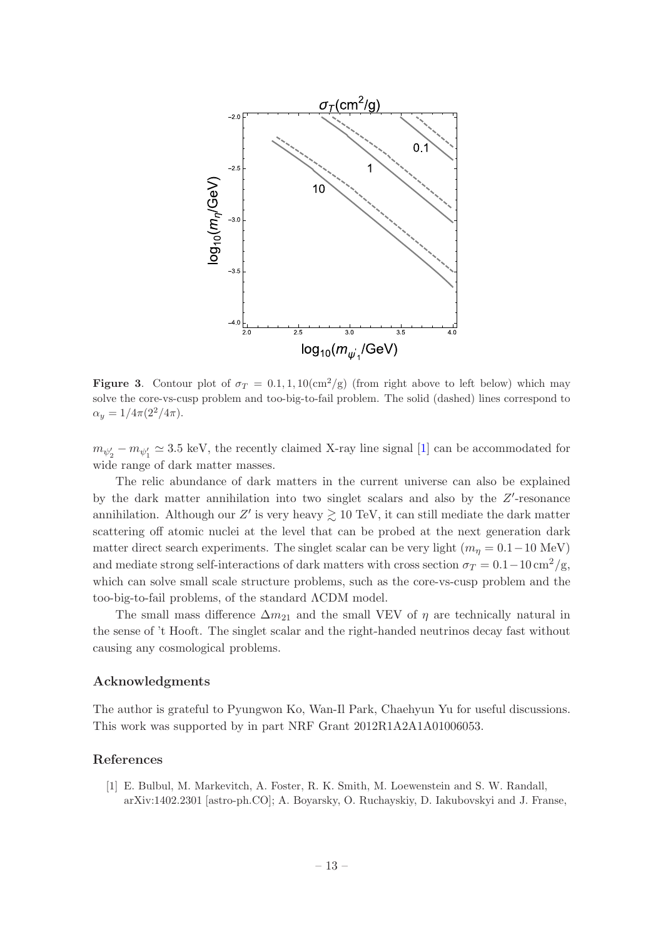

<span id="page-13-1"></span>Figure 3. Contour plot of  $\sigma_T = 0.1, 1, 10 \text{(cm}^2/\text{g)}$  (from right above to left below) which may solve the core-vs-cusp problem and too-big-to-fail problem. The solid (dashed) lines correspond to  $\alpha_y = 1/4\pi(2^2/4\pi).$ 

 $m_{\psi_2'} - m_{\psi_1'} \simeq 3.5$  keV, the recently claimed X-ray line signal [\[1\]](#page-13-0) can be accommodated for wide range of dark matter masses.

The relic abundance of dark matters in the current universe can also be explained by the dark matter annihilation into two singlet scalars and also by the  $Z'$ -resonance annihilation. Although our Z' is very heavy  $\gtrsim 10 \text{ TeV}$ , it can still mediate the dark matter scattering off atomic nuclei at the level that can be probed at the next generation dark matter direct search experiments. The singlet scalar can be very light  $(m_n = 0.1 - 10 \text{ MeV})$ and mediate strong self-interactions of dark matters with cross section  $\sigma_T = 0.1 - 10 \,\mathrm{cm^2/g}$ , which can solve small scale structure problems, such as the core-vs-cusp problem and the too-big-to-fail problems, of the standard ΛCDM model.

The small mass difference  $\Delta m_{21}$  and the small VEV of  $\eta$  are technically natural in the sense of 't Hooft. The singlet scalar and the right-handed neutrinos decay fast without causing any cosmological problems.

## Acknowledgments

The author is grateful to Pyungwon Ko, Wan-Il Park, Chaehyun Yu for useful discussions. This work was supported by in part NRF Grant 2012R1A2A1A01006053.

### References

<span id="page-13-0"></span>[1] E. Bulbul, M. Markevitch, A. Foster, R. K. Smith, M. Loewenstein and S. W. Randall, arXiv:1402.2301 [astro-ph.CO]; A. Boyarsky, O. Ruchayskiy, D. Iakubovskyi and J. Franse,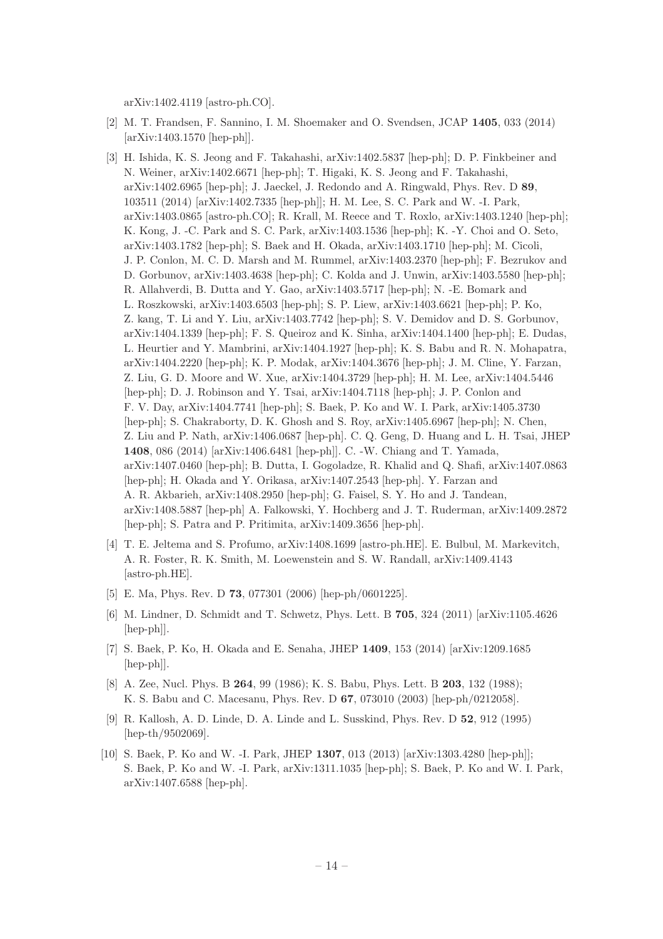arXiv:1402.4119 [astro-ph.CO].

- <span id="page-14-0"></span>[2] M. T. Frandsen, F. Sannino, I. M. Shoemaker and O. Svendsen, JCAP 1405, 033 (2014) [arXiv:1403.1570 [hep-ph]].
- <span id="page-14-1"></span>[3] H. Ishida, K. S. Jeong and F. Takahashi, arXiv:1402.5837 [hep-ph]; D. P. Finkbeiner and N. Weiner, arXiv:1402.6671 [hep-ph]; T. Higaki, K. S. Jeong and F. Takahashi, arXiv:1402.6965 [hep-ph]; J. Jaeckel, J. Redondo and A. Ringwald, Phys. Rev. D 89, 103511 (2014) [arXiv:1402.7335 [hep-ph]]; H. M. Lee, S. C. Park and W. -I. Park, arXiv:1403.0865 [astro-ph.CO]; R. Krall, M. Reece and T. Roxlo, arXiv:1403.1240 [hep-ph]; K. Kong, J. -C. Park and S. C. Park, arXiv:1403.1536 [hep-ph]; K. -Y. Choi and O. Seto, arXiv:1403.1782 [hep-ph]; S. Baek and H. Okada, arXiv:1403.1710 [hep-ph]; M. Cicoli, J. P. Conlon, M. C. D. Marsh and M. Rummel, arXiv:1403.2370 [hep-ph]; F. Bezrukov and D. Gorbunov, arXiv:1403.4638 [hep-ph]; C. Kolda and J. Unwin, arXiv:1403.5580 [hep-ph]; R. Allahverdi, B. Dutta and Y. Gao, arXiv:1403.5717 [hep-ph]; N. -E. Bomark and L. Roszkowski, arXiv:1403.6503 [hep-ph]; S. P. Liew, arXiv:1403.6621 [hep-ph]; P. Ko, Z. kang, T. Li and Y. Liu, arXiv:1403.7742 [hep-ph]; S. V. Demidov and D. S. Gorbunov, arXiv:1404.1339 [hep-ph]; F. S. Queiroz and K. Sinha, arXiv:1404.1400 [hep-ph]; E. Dudas, L. Heurtier and Y. Mambrini, arXiv:1404.1927 [hep-ph]; K. S. Babu and R. N. Mohapatra, arXiv:1404.2220 [hep-ph]; K. P. Modak, arXiv:1404.3676 [hep-ph]; J. M. Cline, Y. Farzan, Z. Liu, G. D. Moore and W. Xue, arXiv:1404.3729 [hep-ph]; H. M. Lee, arXiv:1404.5446 [hep-ph]; D. J. Robinson and Y. Tsai, arXiv:1404.7118 [hep-ph]; J. P. Conlon and F. V. Day, arXiv:1404.7741 [hep-ph]; S. Baek, P. Ko and W. I. Park, arXiv:1405.3730 [hep-ph]; S. Chakraborty, D. K. Ghosh and S. Roy, arXiv:1405.6967 [hep-ph]; N. Chen, Z. Liu and P. Nath, arXiv:1406.0687 [hep-ph]. C. Q. Geng, D. Huang and L. H. Tsai, JHEP 1408, 086 (2014) [arXiv:1406.6481 [hep-ph]]. C. -W. Chiang and T. Yamada, arXiv:1407.0460 [hep-ph]; B. Dutta, I. Gogoladze, R. Khalid and Q. Shafi, arXiv:1407.0863 [hep-ph]; H. Okada and Y. Orikasa, arXiv:1407.2543 [hep-ph]. Y. Farzan and A. R. Akbarieh, arXiv:1408.2950 [hep-ph]; G. Faisel, S. Y. Ho and J. Tandean, arXiv:1408.5887 [hep-ph] A. Falkowski, Y. Hochberg and J. T. Ruderman, arXiv:1409.2872 [hep-ph]; S. Patra and P. Pritimita, arXiv:1409.3656 [hep-ph].
- <span id="page-14-6"></span>[4] T. E. Jeltema and S. Profumo, arXiv:1408.1699 [astro-ph.HE]. E. Bulbul, M. Markevitch, A. R. Foster, R. K. Smith, M. Loewenstein and S. W. Randall, arXiv:1409.4143 [astro-ph.HE].
- <span id="page-14-2"></span>[5] E. Ma, Phys. Rev. D 73, 077301 (2006) [hep-ph/0601225].
- <span id="page-14-5"></span>[6] M. Lindner, D. Schmidt and T. Schwetz, Phys. Lett. B 705, 324 (2011) [arXiv:1105.4626 [hep-ph]].
- <span id="page-14-3"></span>[7] S. Baek, P. Ko, H. Okada and E. Senaha, JHEP 1409, 153 (2014) [arXiv:1209.1685 [hep-ph]].
- <span id="page-14-4"></span>[8] A. Zee, Nucl. Phys. B 264, 99 (1986); K. S. Babu, Phys. Lett. B 203, 132 (1988); K. S. Babu and C. Macesanu, Phys. Rev. D 67, 073010 (2003) [hep-ph/0212058].
- <span id="page-14-7"></span>[9] R. Kallosh, A. D. Linde, D. A. Linde and L. Susskind, Phys. Rev. D 52, 912 (1995) [hep-th/9502069].
- <span id="page-14-8"></span>[10] S. Baek, P. Ko and W. -I. Park, JHEP 1307, 013 (2013) [arXiv:1303.4280 [hep-ph]]; S. Baek, P. Ko and W. -I. Park, arXiv:1311.1035 [hep-ph]; S. Baek, P. Ko and W. I. Park, arXiv:1407.6588 [hep-ph].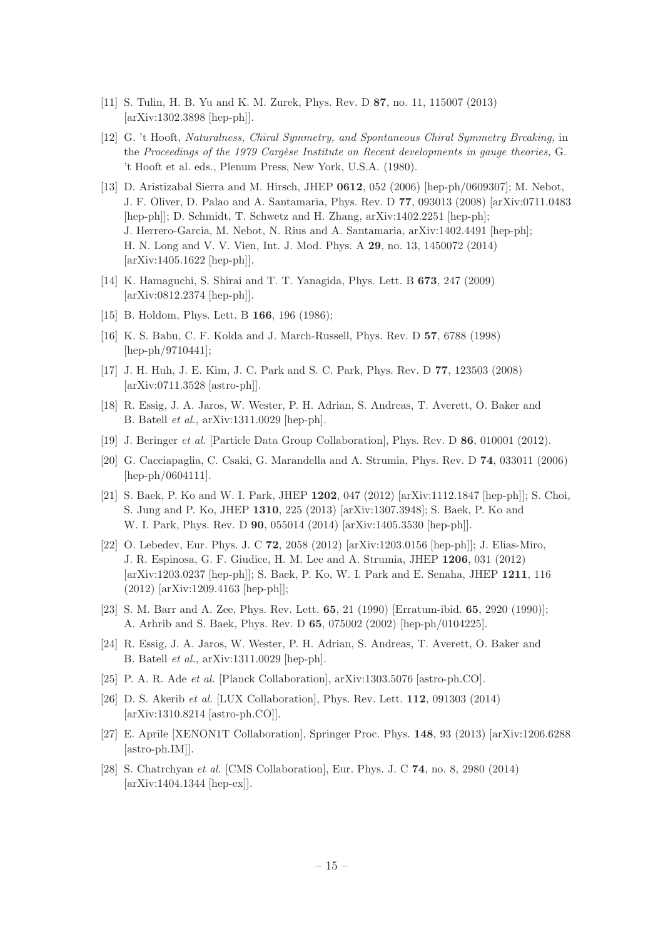- <span id="page-15-0"></span>[11] S. Tulin, H. B. Yu and K. M. Zurek, Phys. Rev. D 87, no. 11, 115007 (2013) [arXiv:1302.3898 [hep-ph]].
- <span id="page-15-1"></span>[12] G. 't Hooft, Naturalness, Chiral Symmetry, and Spontaneous Chiral Symmetry Breaking, in the Proceedings of the 1979 Cargèse Institute on Recent developments in gauge theories, G. 't Hooft et al. eds., Plenum Press, New York, U.S.A. (1980).
- <span id="page-15-2"></span>[13] D. Aristizabal Sierra and M. Hirsch, JHEP 0612, 052 (2006) [hep-ph/0609307]; M. Nebot, J. F. Oliver, D. Palao and A. Santamaria, Phys. Rev. D 77, 093013 (2008) [arXiv:0711.0483 [hep-ph]]; D. Schmidt, T. Schwetz and H. Zhang, arXiv:1402.2251 [hep-ph]; J. Herrero-Garcia, M. Nebot, N. Rius and A. Santamaria, arXiv:1402.4491 [hep-ph]; H. N. Long and V. V. Vien, Int. J. Mod. Phys. A 29, no. 13, 1450072 (2014) [arXiv:1405.1622 [hep-ph]].
- <span id="page-15-17"></span>[14] K. Hamaguchi, S. Shirai and T. T. Yanagida, Phys. Lett. B 673, 247 (2009) [arXiv:0812.2374 [hep-ph]].
- <span id="page-15-3"></span>[15] B. Holdom, Phys. Lett. B **166**, 196 (1986);
- <span id="page-15-4"></span>[16] K. S. Babu, C. F. Kolda and J. March-Russell, Phys. Rev. D 57, 6788 (1998) [hep-ph/9710441];
- <span id="page-15-8"></span>[17] J. H. Huh, J. E. Kim, J. C. Park and S. C. Park, Phys. Rev. D 77, 123503 (2008) [arXiv:0711.3528 [astro-ph]].
- <span id="page-15-5"></span>[18] R. Essig, J. A. Jaros, W. Wester, P. H. Adrian, S. Andreas, T. Averett, O. Baker and B. Batell et al., arXiv:1311.0029 [hep-ph].
- <span id="page-15-6"></span>[19] J. Beringer et al. [Particle Data Group Collaboration], Phys. Rev. D 86, 010001 (2012).
- <span id="page-15-7"></span>[20] G. Cacciapaglia, C. Csaki, G. Marandella and A. Strumia, Phys. Rev. D 74, 033011 (2006) [hep-ph/0604111].
- <span id="page-15-9"></span>[21] S. Baek, P. Ko and W. I. Park, JHEP 1202, 047 (2012) [arXiv:1112.1847 [hep-ph]]; S. Choi, S. Jung and P. Ko, JHEP 1310, 225 (2013) [arXiv:1307.3948]; S. Baek, P. Ko and W. I. Park, Phys. Rev. D 90, 055014 (2014) [arXiv:1405.3530 [hep-ph]].
- <span id="page-15-10"></span>[22] O. Lebedev, Eur. Phys. J. C 72, 2058 (2012) [arXiv:1203.0156 [hep-ph]]; J. Elias-Miro, J. R. Espinosa, G. F. Giudice, H. M. Lee and A. Strumia, JHEP 1206, 031 (2012) [arXiv:1203.0237 [hep-ph]]; S. Baek, P. Ko, W. I. Park and E. Senaha, JHEP 1211, 116 (2012) [arXiv:1209.4163 [hep-ph]];
- <span id="page-15-11"></span>[23] S. M. Barr and A. Zee, Phys. Rev. Lett. 65, 21 (1990) [Erratum-ibid. 65, 2920 (1990)]; A. Arhrib and S. Baek, Phys. Rev. D 65, 075002 (2002) [hep-ph/0104225].
- <span id="page-15-12"></span>[24] R. Essig, J. A. Jaros, W. Wester, P. H. Adrian, S. Andreas, T. Averett, O. Baker and B. Batell et al., arXiv:1311.0029 [hep-ph].
- <span id="page-15-13"></span>[25] P. A. R. Ade et al. [Planck Collaboration], arXiv:1303.5076 [astro-ph.CO].
- <span id="page-15-14"></span>[26] D. S. Akerib et al. [LUX Collaboration], Phys. Rev. Lett. 112, 091303 (2014) [arXiv:1310.8214 [astro-ph.CO]].
- <span id="page-15-15"></span>[27] E. Aprile [XENON1T Collaboration], Springer Proc. Phys. 148, 93 (2013) [arXiv:1206.6288 [astro-ph.IM]].
- <span id="page-15-16"></span>[28] S. Chatrchyan et al. [CMS Collaboration], Eur. Phys. J. C 74, no. 8, 2980 (2014) [arXiv:1404.1344 [hep-ex]].